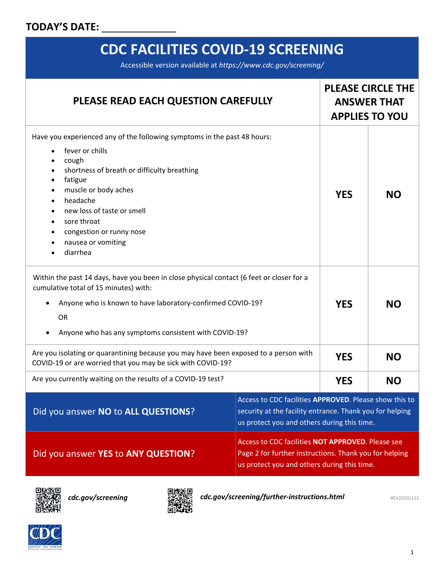#### TODAY'S DATE:

## **CDC FACILITIES COVID-19 SCREENING**

Accessible version available at *https://www.cdc.gov/screening/*

| PLEASE READ EACH QUESTION CAREFULLY                                                                                                                                                                                                                                                                                                                                    |                                                                                                                                                                   | <b>PLEASE CIRCLE THE</b><br><b>ANSWER THAT</b><br><b>APPLIES TO YOU</b> |           |
|------------------------------------------------------------------------------------------------------------------------------------------------------------------------------------------------------------------------------------------------------------------------------------------------------------------------------------------------------------------------|-------------------------------------------------------------------------------------------------------------------------------------------------------------------|-------------------------------------------------------------------------|-----------|
| Have you experienced any of the following symptoms in the past 48 hours:<br>fever or chills<br>$\bullet$<br>cough<br>shortness of breath or difficulty breathing<br>fatigue<br>$\bullet$<br>muscle or body aches<br>$\bullet$<br>headache<br>$\bullet$<br>new loss of taste or smell<br>sore throat<br>congestion or runny nose<br>٠<br>nausea or vomiting<br>diarrhea |                                                                                                                                                                   | <b>YES</b>                                                              | <b>NO</b> |
| Within the past 14 days, have you been in close physical contact (6 feet or closer for a<br>cumulative total of 15 minutes) with:<br>Anyone who is known to have laboratory-confirmed COVID-19?<br><b>OR</b><br>Anyone who has any symptoms consistent with COVID-19?                                                                                                  |                                                                                                                                                                   | <b>YES</b>                                                              | <b>NO</b> |
| Are you isolating or quarantining because you may have been exposed to a person with<br>COVID-19 or are worried that you may be sick with COVID-19?                                                                                                                                                                                                                    |                                                                                                                                                                   | <b>YES</b>                                                              | <b>NO</b> |
| Are you currently waiting on the results of a COVID-19 test?                                                                                                                                                                                                                                                                                                           |                                                                                                                                                                   | <b>YES</b>                                                              | <b>NO</b> |
| Access to CDC facilities APPROVED. Please show this to<br>Did you answer NO to ALL QUESTIONS?<br>security at the facility entrance. Thank you for helping<br>us protect you and others during this time.                                                                                                                                                               |                                                                                                                                                                   |                                                                         |           |
| Did you answer YES to ANY QUESTION?                                                                                                                                                                                                                                                                                                                                    | <b>Access to CDC facilities NOT APPROVED. Please see</b><br>Page 2 for further instructions. Thank you for helping<br>us protect you and others during this time. |                                                                         |           |





*[cdc.gov/screening](https://www.cdc.gov/screening) cdc.gov/screening/further-instructions.html* REV20201112